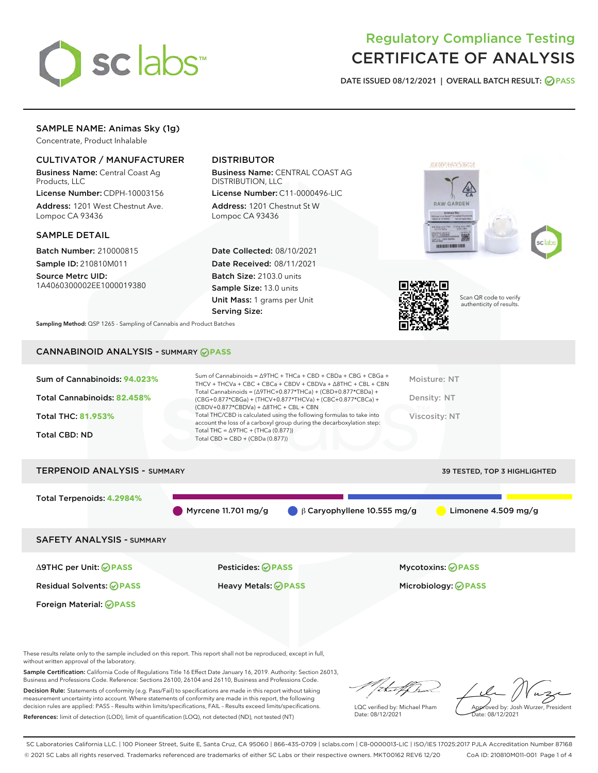

## Regulatory Compliance Testing CERTIFICATE OF ANALYSIS

DATE ISSUED 08/12/2021 | OVERALL BATCH RESULT: @ PASS

## SAMPLE NAME: Animas Sky (1g)

Concentrate, Product Inhalable

## CULTIVATOR / MANUFACTURER

Business Name: Central Coast Ag Products, LLC

License Number: CDPH-10003156 Address: 1201 West Chestnut Ave. Lompoc CA 93436

#### SAMPLE DETAIL

Batch Number: 210000815 Sample ID: 210810M011

Source Metrc UID: 1A4060300002EE1000019380

## DISTRIBUTOR

Business Name: CENTRAL COAST AG DISTRIBUTION, LLC License Number: C11-0000496-LIC

Address: 1201 Chestnut St W Lompoc CA 93436

Date Collected: 08/10/2021 Date Received: 08/11/2021 Batch Size: 2103.0 units Sample Size: 13.0 units Unit Mass: 1 grams per Unit Serving Size:





Scan QR code to verify authenticity of results.

Sampling Method: QSP 1265 - Sampling of Cannabis and Product Batches

## CANNABINOID ANALYSIS - SUMMARY **PASS**



# TERPENOID ANALYSIS - SUMMARY 39 TESTED, TOP 3 HIGHLIGHTED Total Terpenoids: **4.2984%** Myrcene 11.701 mg/g β Caryophyllene 10.555 mg/g Limonene 4.509 mg/g SAFETY ANALYSIS - SUMMARY

Foreign Material: **PASS**

Δ9THC per Unit: **PASS** Pesticides: **PASS** Mycotoxins: **PASS**

Residual Solvents: **PASS** Heavy Metals: **PASS** Microbiology: **PASS**

These results relate only to the sample included on this report. This report shall not be reproduced, except in full, without written approval of the laboratory.

Sample Certification: California Code of Regulations Title 16 Effect Date January 16, 2019. Authority: Section 26013, Business and Professions Code. Reference: Sections 26100, 26104 and 26110, Business and Professions Code.

Decision Rule: Statements of conformity (e.g. Pass/Fail) to specifications are made in this report without taking measurement uncertainty into account. Where statements of conformity are made in this report, the following decision rules are applied: PASS – Results within limits/specifications, FAIL – Results exceed limits/specifications. References: limit of detection (LOD), limit of quantification (LOQ), not detected (ND), not tested (NT)

that for

LQC verified by: Michael Pham Date: 08/12/2021

Approved by: Josh Wurzer, President ate: 08/12/2021

SC Laboratories California LLC. | 100 Pioneer Street, Suite E, Santa Cruz, CA 95060 | 866-435-0709 | sclabs.com | C8-0000013-LIC | ISO/IES 17025:2017 PJLA Accreditation Number 87168 © 2021 SC Labs all rights reserved. Trademarks referenced are trademarks of either SC Labs or their respective owners. MKT00162 REV6 12/20 CoA ID: 210810M011-001 Page 1 of 4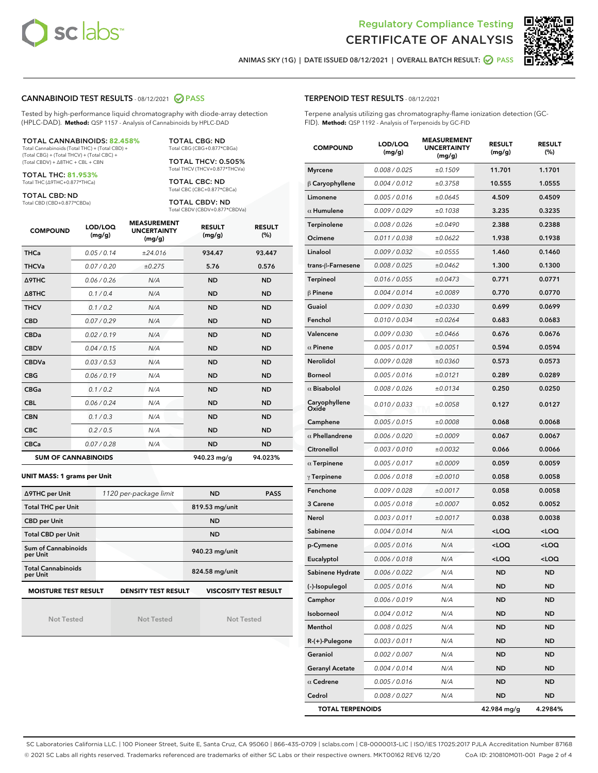



ANIMAS SKY (1G) | DATE ISSUED 08/12/2021 | OVERALL BATCH RESULT:  $\bigcirc$  PASS

#### CANNABINOID TEST RESULTS - 08/12/2021 2 PASS

Tested by high-performance liquid chromatography with diode-array detection (HPLC-DAD). **Method:** QSP 1157 - Analysis of Cannabinoids by HPLC-DAD

#### TOTAL CANNABINOIDS: **82.458%**

Total Cannabinoids (Total THC) + (Total CBD) + (Total CBG) + (Total THCV) + (Total CBC) + (Total CBDV) + ∆8THC + CBL + CBN

TOTAL THC: **81.953%** Total THC (∆9THC+0.877\*THCa)

TOTAL CBD: ND

Total CBD (CBD+0.877\*CBDa)

TOTAL CBG: ND Total CBG (CBG+0.877\*CBGa)

TOTAL THCV: 0.505% Total THCV (THCV+0.877\*THCVa)

TOTAL CBC: ND Total CBC (CBC+0.877\*CBCa)

TOTAL CBDV: ND Total CBDV (CBDV+0.877\*CBDVa)

| <b>COMPOUND</b>  | LOD/LOQ<br>(mg/g)          | <b>MEASUREMENT</b><br><b>UNCERTAINTY</b><br>(mg/g) | <b>RESULT</b><br>(mg/g) | <b>RESULT</b><br>(%) |
|------------------|----------------------------|----------------------------------------------------|-------------------------|----------------------|
| <b>THCa</b>      | 0.05 / 0.14                | ±24.016                                            | 934.47                  | 93.447               |
| <b>THCVa</b>     | 0.07/0.20                  | ±0.275                                             | 5.76                    | 0.576                |
| Δ9THC            | 0.06 / 0.26                | N/A                                                | <b>ND</b>               | <b>ND</b>            |
| $\triangle$ 8THC | 0.1/0.4                    | N/A                                                | <b>ND</b>               | <b>ND</b>            |
| <b>THCV</b>      | 0.1/0.2                    | N/A                                                | <b>ND</b>               | <b>ND</b>            |
| <b>CBD</b>       | 0.07/0.29                  | N/A                                                | <b>ND</b>               | <b>ND</b>            |
| <b>CBDa</b>      | 0.02/0.19                  | N/A                                                | <b>ND</b>               | <b>ND</b>            |
| <b>CBDV</b>      | 0.04 / 0.15                | N/A                                                | <b>ND</b>               | <b>ND</b>            |
| <b>CBDVa</b>     | 0.03/0.53                  | N/A                                                | <b>ND</b>               | <b>ND</b>            |
| <b>CBG</b>       | 0.06/0.19                  | N/A                                                | <b>ND</b>               | <b>ND</b>            |
| <b>CBGa</b>      | 0.1/0.2                    | N/A                                                | <b>ND</b>               | <b>ND</b>            |
| <b>CBL</b>       | 0.06/0.24                  | N/A                                                | <b>ND</b>               | <b>ND</b>            |
| <b>CBN</b>       | 0.1/0.3                    | N/A                                                | <b>ND</b>               | <b>ND</b>            |
| <b>CBC</b>       | 0.2 / 0.5                  | N/A                                                | <b>ND</b>               | <b>ND</b>            |
| <b>CBCa</b>      | 0.07/0.28                  | N/A                                                | <b>ND</b>               | <b>ND</b>            |
|                  | <b>SUM OF CANNABINOIDS</b> |                                                    | 940.23 mg/g             | 94.023%              |

#### **UNIT MASS: 1 grams per Unit**

| ∆9THC per Unit                                                                            | 1120 per-package limit | <b>ND</b>      | <b>PASS</b> |  |  |
|-------------------------------------------------------------------------------------------|------------------------|----------------|-------------|--|--|
| <b>Total THC per Unit</b>                                                                 |                        | 819.53 mg/unit |             |  |  |
| <b>CBD</b> per Unit                                                                       |                        | <b>ND</b>      |             |  |  |
| <b>Total CBD per Unit</b>                                                                 |                        | <b>ND</b>      |             |  |  |
| Sum of Cannabinoids<br>per Unit                                                           |                        | 940.23 mg/unit |             |  |  |
| <b>Total Cannabinoids</b><br>per Unit                                                     |                        | 824.58 mg/unit |             |  |  |
| <b>MOISTURE TEST RESULT</b><br><b>VISCOSITY TEST RESULT</b><br><b>DENSITY TEST RESULT</b> |                        |                |             |  |  |

Not Tested

Not Tested

Not Tested

#### TERPENOID TEST RESULTS - 08/12/2021

Terpene analysis utilizing gas chromatography-flame ionization detection (GC-FID). **Method:** QSP 1192 - Analysis of Terpenoids by GC-FID

| <b>COMPOUND</b>         | LOD/LOQ<br>(mg/g) | <b>MEASUREMENT</b><br><b>UNCERTAINTY</b><br>(mg/g) | <b>RESULT</b><br>(mg/g)                         | <b>RESULT</b><br>(%) |
|-------------------------|-------------------|----------------------------------------------------|-------------------------------------------------|----------------------|
| <b>Myrcene</b>          | 0.008 / 0.025     | ±0.1509                                            | 11.701                                          | 1.1701               |
| $\beta$ Caryophyllene   | 0.004 / 0.012     | ±0.3758                                            | 10.555                                          | 1.0555               |
| Limonene                | 0.005 / 0.016     | ±0.0645                                            | 4.509                                           | 0.4509               |
| $\alpha$ Humulene       | 0.009 / 0.029     | ±0.1038                                            | 3.235                                           | 0.3235               |
| Terpinolene             | 0.008 / 0.026     | ±0.0490                                            | 2.388                                           | 0.2388               |
| Ocimene                 | 0.011 / 0.038     | ±0.0622                                            | 1.938                                           | 0.1938               |
| Linalool                | 0.009 / 0.032     | ±0.0555                                            | 1.460                                           | 0.1460               |
| trans-ß-Farnesene       | 0.008 / 0.025     | ±0.0462                                            | 1.300                                           | 0.1300               |
| Terpineol               | 0.016 / 0.055     | ±0.0473                                            | 0.771                                           | 0.0771               |
| $\beta$ Pinene          | 0.004 / 0.014     | ±0.0089                                            | 0.770                                           | 0.0770               |
| Guaiol                  | 0.009 / 0.030     | ±0.0330                                            | 0.699                                           | 0.0699               |
| Fenchol                 | 0.010 / 0.034     | ±0.0264                                            | 0.683                                           | 0.0683               |
| Valencene               | 0.009 / 0.030     | ±0.0466                                            | 0.676                                           | 0.0676               |
| $\alpha$ Pinene         | 0.005 / 0.017     | ±0.0051                                            | 0.594                                           | 0.0594               |
| Nerolidol               | 0.009 / 0.028     | ±0.0360                                            | 0.573                                           | 0.0573               |
| Borneol                 | 0.005 / 0.016     | ±0.0121                                            | 0.289                                           | 0.0289               |
| $\alpha$ Bisabolol      | 0.008 / 0.026     | ±0.0134                                            | 0.250                                           | 0.0250               |
| Caryophyllene<br>Oxide  | 0.010 / 0.033     | ±0.0058                                            | 0.127                                           | 0.0127               |
| Camphene                | 0.005 / 0.015     | ±0.0008                                            | 0.068                                           | 0.0068               |
| $\alpha$ Phellandrene   | 0.006 / 0.020     | ±0.0009                                            | 0.067                                           | 0.0067               |
| Citronellol             | 0.003 / 0.010     | ±0.0032                                            | 0.066                                           | 0.0066               |
| $\alpha$ Terpinene      | 0.005 / 0.017     | ±0.0009                                            | 0.059                                           | 0.0059               |
| $\gamma$ Terpinene      | 0.006 / 0.018     | ±0.0010                                            | 0.058                                           | 0.0058               |
| Fenchone                | 0.009 / 0.028     | ±0.0017                                            | 0.058                                           | 0.0058               |
| 3 Carene                | 0.005 / 0.018     | ±0.0007                                            | 0.052                                           | 0.0052               |
| Nerol                   | 0.003 / 0.011     | ±0.0017                                            | 0.038                                           | 0.0038               |
| Sabinene                | 0.004/0.014       | N/A                                                | <loq< th=""><th><loq< th=""></loq<></th></loq<> | <loq< th=""></loq<>  |
| p-Cymene                | 0.005 / 0.016     | N/A                                                | <loq< th=""><th><loq< th=""></loq<></th></loq<> | <loq< th=""></loq<>  |
| Eucalyptol              | 0.006 / 0.018     | N/A                                                | <loq< th=""><th><loq< th=""></loq<></th></loq<> | <loq< th=""></loq<>  |
| Sabinene Hydrate        | 0.006 / 0.022     | N/A                                                | ND                                              | <b>ND</b>            |
| (-)-Isopulegol          | 0.005 / 0.016     | N/A                                                | ND                                              | ND                   |
| Camphor                 | 0.006 / 0.019     | N/A                                                | <b>ND</b>                                       | <b>ND</b>            |
| Isoborneol              | 0.004 / 0.012     | N/A                                                | <b>ND</b>                                       | <b>ND</b>            |
| Menthol                 | 0.008 / 0.025     | N/A                                                | ND                                              | ND                   |
| R-(+)-Pulegone          | 0.003 / 0.011     | N/A                                                | ND                                              | ND                   |
| Geraniol                | 0.002 / 0.007     | N/A                                                | ND                                              | ND                   |
| <b>Geranyl Acetate</b>  | 0.004 / 0.014     | N/A                                                | ND                                              | ND                   |
| $\alpha$ Cedrene        | 0.005 / 0.016     | N/A                                                | ND                                              | ND                   |
| Cedrol                  | 0.008 / 0.027     | N/A                                                | ND                                              | ND                   |
| <b>TOTAL TERPENOIDS</b> |                   |                                                    | 42.984 mg/g                                     | 4.2984%              |

SC Laboratories California LLC. | 100 Pioneer Street, Suite E, Santa Cruz, CA 95060 | 866-435-0709 | sclabs.com | C8-0000013-LIC | ISO/IES 17025:2017 PJLA Accreditation Number 87168 © 2021 SC Labs all rights reserved. Trademarks referenced are trademarks of either SC Labs or their respective owners. MKT00162 REV6 12/20 CoA ID: 210810M011-001 Page 2 of 4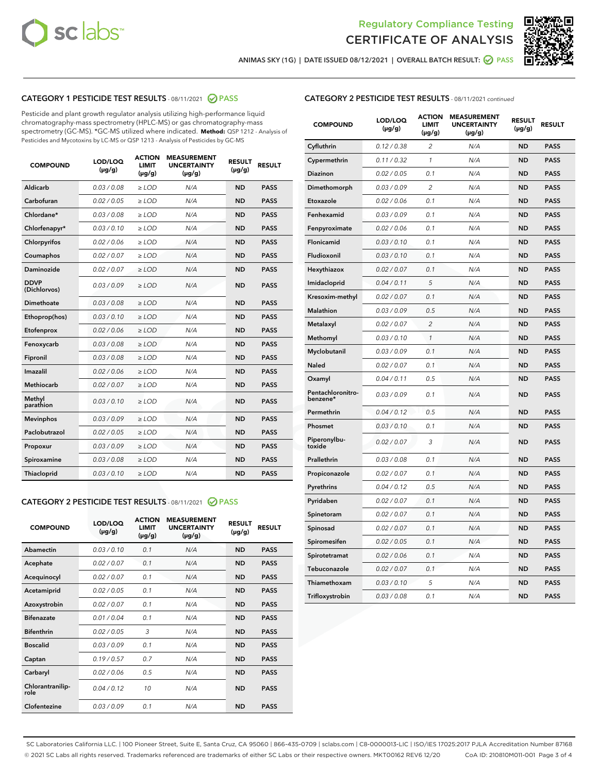



ANIMAS SKY (1G) | DATE ISSUED 08/12/2021 | OVERALL BATCH RESULT: 2 PASS

## CATEGORY 1 PESTICIDE TEST RESULTS - 08/11/2021 2 PASS

Pesticide and plant growth regulator analysis utilizing high-performance liquid chromatography-mass spectrometry (HPLC-MS) or gas chromatography-mass spectrometry (GC-MS). \*GC-MS utilized where indicated. **Method:** QSP 1212 - Analysis of Pesticides and Mycotoxins by LC-MS or QSP 1213 - Analysis of Pesticides by GC-MS

| <b>COMPOUND</b>             | LOD/LOQ<br>$(\mu g/g)$ | <b>ACTION</b><br><b>LIMIT</b><br>$(\mu g/g)$ | <b>MEASUREMENT</b><br><b>UNCERTAINTY</b><br>$(\mu g/g)$ | <b>RESULT</b><br>$(\mu g/g)$ | <b>RESULT</b> |
|-----------------------------|------------------------|----------------------------------------------|---------------------------------------------------------|------------------------------|---------------|
| Aldicarb                    | 0.03 / 0.08            | $\geq$ LOD                                   | N/A                                                     | <b>ND</b>                    | <b>PASS</b>   |
| Carbofuran                  | 0.02/0.05              | $\ge$ LOD                                    | N/A                                                     | <b>ND</b>                    | <b>PASS</b>   |
| Chlordane*                  | 0.03 / 0.08            | $\ge$ LOD                                    | N/A                                                     | <b>ND</b>                    | <b>PASS</b>   |
| Chlorfenapyr*               | 0.03/0.10              | $\ge$ LOD                                    | N/A                                                     | <b>ND</b>                    | <b>PASS</b>   |
| Chlorpyrifos                | 0.02 / 0.06            | $\ge$ LOD                                    | N/A                                                     | <b>ND</b>                    | <b>PASS</b>   |
| Coumaphos                   | 0.02 / 0.07            | $\ge$ LOD                                    | N/A                                                     | <b>ND</b>                    | <b>PASS</b>   |
| Daminozide                  | 0.02 / 0.07            | $\ge$ LOD                                    | N/A                                                     | <b>ND</b>                    | <b>PASS</b>   |
| <b>DDVP</b><br>(Dichlorvos) | 0.03/0.09              | $\ge$ LOD                                    | N/A                                                     | <b>ND</b>                    | <b>PASS</b>   |
| Dimethoate                  | 0.03 / 0.08            | $\ge$ LOD                                    | N/A                                                     | <b>ND</b>                    | <b>PASS</b>   |
| Ethoprop(hos)               | 0.03/0.10              | $\ge$ LOD                                    | N/A                                                     | <b>ND</b>                    | <b>PASS</b>   |
| Etofenprox                  | 0.02/0.06              | $\ge$ LOD                                    | N/A                                                     | <b>ND</b>                    | <b>PASS</b>   |
| Fenoxycarb                  | 0.03/0.08              | $\ge$ LOD                                    | N/A                                                     | <b>ND</b>                    | <b>PASS</b>   |
| Fipronil                    | 0.03/0.08              | $\ge$ LOD                                    | N/A                                                     | <b>ND</b>                    | <b>PASS</b>   |
| Imazalil                    | 0.02 / 0.06            | $\ge$ LOD                                    | N/A                                                     | <b>ND</b>                    | <b>PASS</b>   |
| <b>Methiocarb</b>           | 0.02 / 0.07            | $\ge$ LOD                                    | N/A                                                     | <b>ND</b>                    | <b>PASS</b>   |
| Methyl<br>parathion         | 0.03/0.10              | $\ge$ LOD                                    | N/A                                                     | <b>ND</b>                    | <b>PASS</b>   |
| <b>Mevinphos</b>            | 0.03/0.09              | $\ge$ LOD                                    | N/A                                                     | <b>ND</b>                    | <b>PASS</b>   |
| Paclobutrazol               | 0.02 / 0.05            | $\ge$ LOD                                    | N/A                                                     | <b>ND</b>                    | <b>PASS</b>   |
| Propoxur                    | 0.03/0.09              | $\ge$ LOD                                    | N/A                                                     | <b>ND</b>                    | <b>PASS</b>   |
| Spiroxamine                 | 0.03 / 0.08            | $\ge$ LOD                                    | N/A                                                     | <b>ND</b>                    | <b>PASS</b>   |
| <b>Thiacloprid</b>          | 0.03/0.10              | $\ge$ LOD                                    | N/A                                                     | <b>ND</b>                    | <b>PASS</b>   |
|                             |                        |                                              |                                                         |                              |               |

## CATEGORY 2 PESTICIDE TEST RESULTS - 08/11/2021 @ PASS

| <b>COMPOUND</b>          | LOD/LOO<br>$(\mu g/g)$ | <b>ACTION</b><br>LIMIT<br>$(\mu g/g)$ | <b>MEASUREMENT</b><br><b>UNCERTAINTY</b><br>$(\mu g/g)$ | <b>RESULT</b><br>$(\mu g/g)$ | <b>RESULT</b> |  |
|--------------------------|------------------------|---------------------------------------|---------------------------------------------------------|------------------------------|---------------|--|
| Abamectin                | 0.03/0.10              | 0.1                                   | N/A                                                     | <b>ND</b>                    | <b>PASS</b>   |  |
| Acephate                 | 0.02/0.07              | 0.1                                   | N/A                                                     | <b>ND</b>                    | <b>PASS</b>   |  |
| Acequinocyl              | 0.02/0.07              | 0.1                                   | N/A                                                     | <b>ND</b>                    | <b>PASS</b>   |  |
| Acetamiprid              | 0.02/0.05              | 0.1                                   | N/A                                                     | <b>ND</b>                    | <b>PASS</b>   |  |
| Azoxystrobin             | 0.02/0.07              | 0.1                                   | N/A                                                     | <b>ND</b>                    | <b>PASS</b>   |  |
| <b>Bifenazate</b>        | 0.01/0.04              | 0.1                                   | N/A                                                     | <b>ND</b>                    | <b>PASS</b>   |  |
| <b>Bifenthrin</b>        | 0.02/0.05              | 3                                     | N/A                                                     | <b>ND</b>                    | <b>PASS</b>   |  |
| <b>Boscalid</b>          | 0.03/0.09              | 0.1                                   | N/A                                                     | <b>ND</b>                    | <b>PASS</b>   |  |
| Captan                   | 0.19/0.57              | 0.7                                   | N/A                                                     | <b>ND</b>                    | <b>PASS</b>   |  |
| Carbaryl                 | 0.02/0.06              | 0.5                                   | N/A                                                     | <b>ND</b>                    | <b>PASS</b>   |  |
| Chlorantranilip-<br>role | 0.04/0.12              | 10                                    | N/A                                                     | <b>ND</b>                    | <b>PASS</b>   |  |
| Clofentezine             | 0.03/0.09              | 0.1                                   | N/A                                                     | <b>ND</b>                    | <b>PASS</b>   |  |

#### CATEGORY 2 PESTICIDE TEST RESULTS - 08/11/2021 continued

| <b>COMPOUND</b>               | LOD/LOQ<br>(µg/g) | <b>ACTION</b><br>LIMIT<br>(µg/g) | <b>MEASUREMENT</b><br><b>UNCERTAINTY</b><br>(µg/g) | <b>RESULT</b><br>$(\mu g/g)$ | <b>RESULT</b> |
|-------------------------------|-------------------|----------------------------------|----------------------------------------------------|------------------------------|---------------|
| Cyfluthrin                    | 0.12 / 0.38       | $\overline{2}$                   | N/A                                                | <b>ND</b>                    | <b>PASS</b>   |
| Cypermethrin                  | 0.11 / 0.32       | 1                                | N/A                                                | <b>ND</b>                    | <b>PASS</b>   |
| Diazinon                      | 0.02 / 0.05       | 0.1                              | N/A                                                | <b>ND</b>                    | <b>PASS</b>   |
| Dimethomorph                  | 0.03 / 0.09       | $\overline{c}$                   | N/A                                                | <b>ND</b>                    | <b>PASS</b>   |
| Etoxazole                     | 0.02 / 0.06       | 0.1                              | N/A                                                | <b>ND</b>                    | <b>PASS</b>   |
| Fenhexamid                    | 0.03 / 0.09       | 0.1                              | N/A                                                | <b>ND</b>                    | <b>PASS</b>   |
| Fenpyroximate                 | 0.02 / 0.06       | 0.1                              | N/A                                                | <b>ND</b>                    | <b>PASS</b>   |
| Flonicamid                    | 0.03 / 0.10       | 0.1                              | N/A                                                | <b>ND</b>                    | <b>PASS</b>   |
| Fludioxonil                   | 0.03 / 0.10       | 0.1                              | N/A                                                | <b>ND</b>                    | <b>PASS</b>   |
| Hexythiazox                   | 0.02 / 0.07       | 0.1                              | N/A                                                | <b>ND</b>                    | <b>PASS</b>   |
| Imidacloprid                  | 0.04 / 0.11       | 5                                | N/A                                                | <b>ND</b>                    | <b>PASS</b>   |
| Kresoxim-methyl               | 0.02 / 0.07       | 0.1                              | N/A                                                | <b>ND</b>                    | <b>PASS</b>   |
| Malathion                     | 0.03 / 0.09       | 0.5                              | N/A                                                | <b>ND</b>                    | <b>PASS</b>   |
| Metalaxyl                     | 0.02 / 0.07       | $\overline{c}$                   | N/A                                                | ND                           | <b>PASS</b>   |
| Methomyl                      | 0.03 / 0.10       | $\mathbf{1}$                     | N/A                                                | <b>ND</b>                    | <b>PASS</b>   |
| Myclobutanil                  | 0.03 / 0.09       | 0.1                              | N/A                                                | <b>ND</b>                    | <b>PASS</b>   |
| Naled                         | 0.02 / 0.07       | 0.1                              | N/A                                                | <b>ND</b>                    | <b>PASS</b>   |
| Oxamyl                        | 0.04 / 0.11       | 0.5                              | N/A                                                | <b>ND</b>                    | <b>PASS</b>   |
| Pentachloronitro-<br>benzene* | 0.03 / 0.09       | 0.1                              | N/A                                                | ND                           | <b>PASS</b>   |
| Permethrin                    | 0.04 / 0.12       | 0.5                              | N/A                                                | <b>ND</b>                    | <b>PASS</b>   |
| Phosmet                       | 0.03 / 0.10       | 0.1                              | N/A                                                | <b>ND</b>                    | <b>PASS</b>   |
| Piperonylbu-<br>toxide        | 0.02 / 0.07       | 3                                | N/A                                                | <b>ND</b>                    | <b>PASS</b>   |
| Prallethrin                   | 0.03 / 0.08       | 0.1                              | N/A                                                | <b>ND</b>                    | <b>PASS</b>   |
| Propiconazole                 | 0.02 / 0.07       | 0.1                              | N/A                                                | <b>ND</b>                    | <b>PASS</b>   |
| Pyrethrins                    | 0.04 / 0.12       | 0.5                              | N/A                                                | <b>ND</b>                    | <b>PASS</b>   |
| Pyridaben                     | 0.02 / 0.07       | 0.1                              | N/A                                                | <b>ND</b>                    | <b>PASS</b>   |
| Spinetoram                    | 0.02 / 0.07       | 0.1                              | N/A                                                | <b>ND</b>                    | <b>PASS</b>   |
| Spinosad                      | 0.02 / 0.07       | 0.1                              | N/A                                                | <b>ND</b>                    | <b>PASS</b>   |
| Spiromesifen                  | 0.02 / 0.05       | 0.1                              | N/A                                                | <b>ND</b>                    | <b>PASS</b>   |
| Spirotetramat                 | 0.02 / 0.06       | 0.1                              | N/A                                                | <b>ND</b>                    | <b>PASS</b>   |
| Tebuconazole                  | 0.02 / 0.07       | 0.1                              | N/A                                                | <b>ND</b>                    | <b>PASS</b>   |
| Thiamethoxam                  | 0.03 / 0.10       | 5                                | N/A                                                | <b>ND</b>                    | <b>PASS</b>   |
| Trifloxystrobin               | 0.03 / 0.08       | 0.1                              | N/A                                                | <b>ND</b>                    | <b>PASS</b>   |

SC Laboratories California LLC. | 100 Pioneer Street, Suite E, Santa Cruz, CA 95060 | 866-435-0709 | sclabs.com | C8-0000013-LIC | ISO/IES 17025:2017 PJLA Accreditation Number 87168 © 2021 SC Labs all rights reserved. Trademarks referenced are trademarks of either SC Labs or their respective owners. MKT00162 REV6 12/20 CoA ID: 210810M011-001 Page 3 of 4